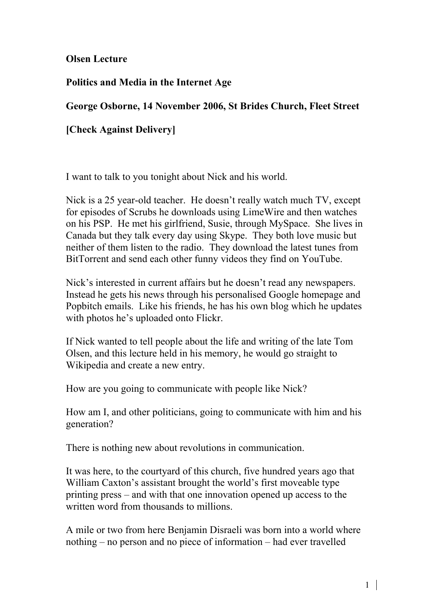Olsen Lecture

Politics and Media in the Internet Age

## George Osborne, 14 November 2006, St Brides Church, Fleet Street

[Check Against Delivery]

I want to talk to you tonight about Nick and his world.

Nick is a 25 year-old teacher. He doesn't really watch much TV, except for episodes of Scrubs he downloads using LimeWire and then watches on his PSP. He met his girlfriend, Susie, through MySpace. She lives in Canada but they talk every day using Skype. They both love music but neither of them listen to the radio. They download the latest tunes from BitTorrent and send each other funny videos they find on YouTube.

Nick's interested in current affairs but he doesn't read any newspapers. Instead he gets his news through his personalised Google homepage and Popbitch emails. Like his friends, he has his own blog which he updates with photos he's uploaded onto Flickr.

If Nick wanted to tell people about the life and writing of the late Tom Olsen, and this lecture held in his memory, he would go straight to Wikipedia and create a new entry.

How are you going to communicate with people like Nick?

How am I, and other politicians, going to communicate with him and his generation?

There is nothing new about revolutions in communication.

It was here, to the courtyard of this church, five hundred years ago that William Caxton's assistant brought the world's first moveable type printing press – and with that one innovation opened up access to the written word from thousands to millions.

A mile or two from here Benjamin Disraeli was born into a world where nothing – no person and no piece of information – had ever travelled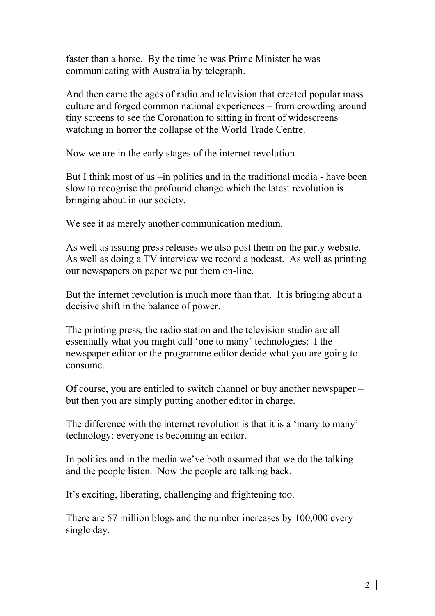faster than a horse. By the time he was Prime Minister he was communicating with Australia by telegraph.

And then came the ages of radio and television that created popular mass culture and forged common national experiences – from crowding around tiny screens to see the Coronation to sitting in front of widescreens watching in horror the collapse of the World Trade Centre.

Now we are in the early stages of the internet revolution.

But I think most of us –in politics and in the traditional media - have been slow to recognise the profound change which the latest revolution is bringing about in our society.

We see it as merely another communication medium.

As well as issuing press releases we also post them on the party website. As well as doing a TV interview we record a podcast. As well as printing our newspapers on paper we put them on-line.

But the internet revolution is much more than that. It is bringing about a decisive shift in the balance of power.

The printing press, the radio station and the television studio are all essentially what you might call 'one to many' technologies: I the newspaper editor or the programme editor decide what you are going to consume.

Of course, you are entitled to switch channel or buy another newspaper – but then you are simply putting another editor in charge.

The difference with the internet revolution is that it is a 'many to many' technology: everyone is becoming an editor.

In politics and in the media we've both assumed that we do the talking and the people listen. Now the people are talking back.

It's exciting, liberating, challenging and frightening too.

There are 57 million blogs and the number increases by 100,000 every single day.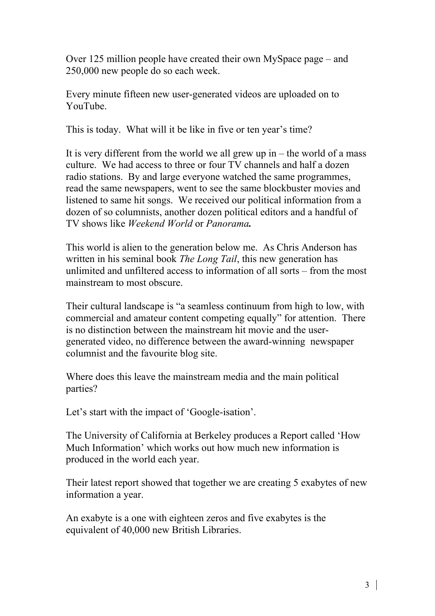Over 125 million people have created their own MySpace page – and 250,000 new people do so each week.

Every minute fifteen new user-generated videos are uploaded on to YouTube.

This is today. What will it be like in five or ten year's time?

It is very different from the world we all grew up in  $-$  the world of a mass culture. We had access to three or four TV channels and half a dozen radio stations. By and large everyone watched the same programmes, read the same newspapers, went to see the same blockbuster movies and listened to same hit songs. We received our political information from a dozen of so columnists, another dozen political editors and a handful of TV shows like *Weekend World* or *Panorama.*

This world is alien to the generation below me. As Chris Anderson has written in his seminal book *The Long Tail*, this new generation has unlimited and unfiltered access to information of all sorts – from the most mainstream to most obscure.

Their cultural landscape is "a seamless continuum from high to low, with commercial and amateur content competing equally" for attention. There is no distinction between the mainstream hit movie and the usergenerated video, no difference between the award-winning newspaper columnist and the favourite blog site.

Where does this leave the mainstream media and the main political parties?

Let's start with the impact of 'Google-isation'.

The University of California at Berkeley produces a Report called 'How Much Information' which works out how much new information is produced in the world each year.

Their latest report showed that together we are creating 5 exabytes of new information a year.

An exabyte is a one with eighteen zeros and five exabytes is the equivalent of 40,000 new British Libraries.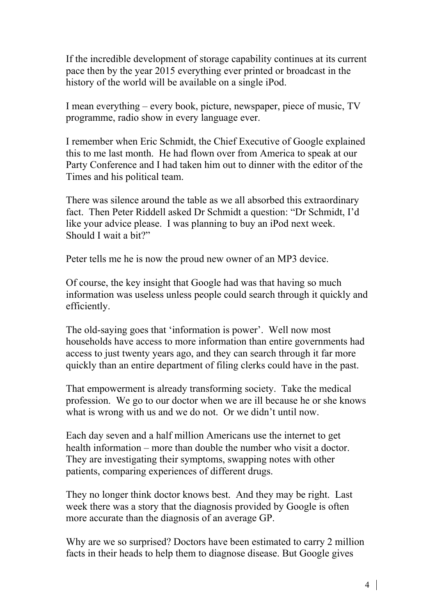If the incredible development of storage capability continues at its current pace then by the year 2015 everything ever printed or broadcast in the history of the world will be available on a single iPod.

I mean everything – every book, picture, newspaper, piece of music, TV programme, radio show in every language ever.

I remember when Eric Schmidt, the Chief Executive of Google explained this to me last month. He had flown over from America to speak at our Party Conference and I had taken him out to dinner with the editor of the Times and his political team.

There was silence around the table as we all absorbed this extraordinary fact. Then Peter Riddell asked Dr Schmidt a question: "Dr Schmidt, I'd like your advice please. I was planning to buy an iPod next week. Should I wait a bit?"

Peter tells me he is now the proud new owner of an MP3 device.

Of course, the key insight that Google had was that having so much information was useless unless people could search through it quickly and efficiently.

The old-saying goes that 'information is power'. Well now most households have access to more information than entire governments had access to just twenty years ago, and they can search through it far more quickly than an entire department of filing clerks could have in the past.

That empowerment is already transforming society. Take the medical profession. We go to our doctor when we are ill because he or she knows what is wrong with us and we do not. Or we didn't until now.

Each day seven and a half million Americans use the internet to get health information – more than double the number who visit a doctor. They are investigating their symptoms, swapping notes with other patients, comparing experiences of different drugs.

They no longer think doctor knows best. And they may be right. Last week there was a story that the diagnosis provided by Google is often more accurate than the diagnosis of an average GP.

Why are we so surprised? Doctors have been estimated to carry 2 million facts in their heads to help them to diagnose disease. But Google gives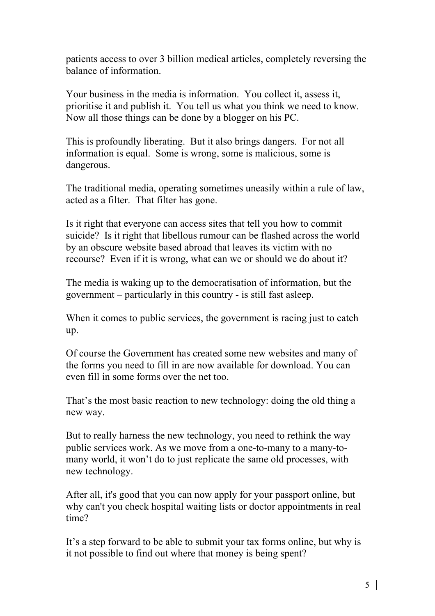patients access to over 3 billion medical articles, completely reversing the balance of information.

Your business in the media is information. You collect it, assess it, prioritise it and publish it. You tell us what you think we need to know. Now all those things can be done by a blogger on his PC.

This is profoundly liberating. But it also brings dangers. For not all information is equal. Some is wrong, some is malicious, some is dangerous.

The traditional media, operating sometimes uneasily within a rule of law, acted as a filter. That filter has gone.

Is it right that everyone can access sites that tell you how to commit suicide? Is it right that libellous rumour can be flashed across the world by an obscure website based abroad that leaves its victim with no recourse? Even if it is wrong, what can we or should we do about it?

The media is waking up to the democratisation of information, but the government – particularly in this country - is still fast asleep.

When it comes to public services, the government is racing just to catch up.

Of course the Government has created some new websites and many of the forms you need to fill in are now available for download. You can even fill in some forms over the net too.

That's the most basic reaction to new technology: doing the old thing a new way.

But to really harness the new technology, you need to rethink the way public services work. As we move from a one-to-many to a many-tomany world, it won't do to just replicate the same old processes, with new technology.

After all, it's good that you can now apply for your passport online, but why can't you check hospital waiting lists or doctor appointments in real time?

It's a step forward to be able to submit your tax forms online, but why is it not possible to find out where that money is being spent?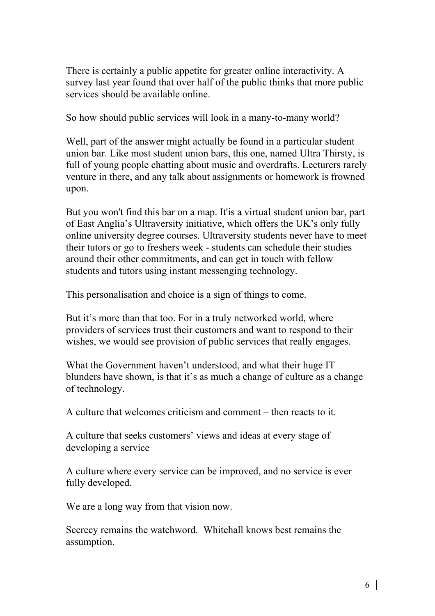There is certainly a public appetite for greater online interactivity. A survey last year found that over half of the public thinks that more public services should be available online.

So how should public services will look in a many-to-many world?

Well, part of the answer might actually be found in a particular student union bar. Like most student union bars, this one, named Ultra Thirsty, is full of young people chatting about music and overdrafts. Lecturers rarely venture in there, and any talk about assignments or homework is frowned upon.

But you won't find this bar on a map. It'is a virtual student union bar, part of East Anglia's Ultraversity initiative, which offers the UK's only fully online university degree courses. Ultraversity students never have to meet their tutors or go to freshers week - students can schedule their studies around their other commitments, and can get in touch with fellow students and tutors using instant messenging technology.

This personalisation and choice is a sign of things to come.

But it's more than that too. For in a truly networked world, where providers of services trust their customers and want to respond to their wishes, we would see provision of public services that really engages.

What the Government haven't understood, and what their huge IT blunders have shown, is that it's as much a change of culture as a change of technology.

A culture that welcomes criticism and comment – then reacts to it.

A culture that seeks customers' views and ideas at every stage of developing a service

A culture where every service can be improved, and no service is ever fully developed.

We are a long way from that vision now.

Secrecy remains the watchword. Whitehall knows best remains the assumption.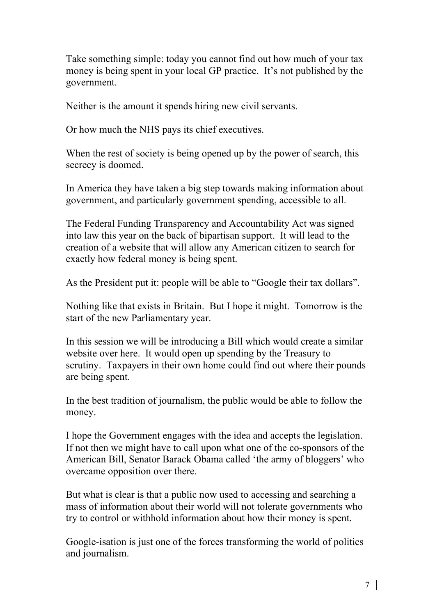Take something simple: today you cannot find out how much of your tax money is being spent in your local GP practice. It's not published by the government.

Neither is the amount it spends hiring new civil servants.

Or how much the NHS pays its chief executives.

When the rest of society is being opened up by the power of search, this secrecy is doomed.

In America they have taken a big step towards making information about government, and particularly government spending, accessible to all.

The Federal Funding Transparency and Accountability Act was signed into law this year on the back of bipartisan support. It will lead to the creation of a website that will allow any American citizen to search for exactly how federal money is being spent.

As the President put it: people will be able to "Google their tax dollars".

Nothing like that exists in Britain. But I hope it might. Tomorrow is the start of the new Parliamentary year.

In this session we will be introducing a Bill which would create a similar website over here. It would open up spending by the Treasury to scrutiny. Taxpayers in their own home could find out where their pounds are being spent.

In the best tradition of journalism, the public would be able to follow the money.

I hope the Government engages with the idea and accepts the legislation. If not then we might have to call upon what one of the co-sponsors of the American Bill, Senator Barack Obama called 'the army of bloggers' who overcame opposition over there.

But what is clear is that a public now used to accessing and searching a mass of information about their world will not tolerate governments who try to control or withhold information about how their money is spent.

Google-isation is just one of the forces transforming the world of politics and journalism.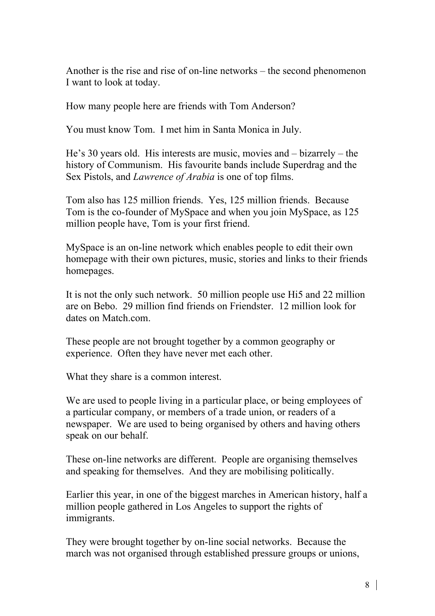Another is the rise and rise of on-line networks – the second phenomenon I want to look at today.

How many people here are friends with Tom Anderson?

You must know Tom. I met him in Santa Monica in July.

He's 30 years old. His interests are music, movies and – bizarrely – the history of Communism. His favourite bands include Superdrag and the Sex Pistols, and *Lawrence of Arabia* is one of top films.

Tom also has 125 million friends. Yes, 125 million friends. Because Tom is the co-founder of MySpace and when you join MySpace, as 125 million people have, Tom is your first friend.

MySpace is an on-line network which enables people to edit their own homepage with their own pictures, music, stories and links to their friends homepages.

It is not the only such network. 50 million people use Hi5 and 22 million are on Bebo. 29 million find friends on Friendster. 12 million look for dates on Match com.

These people are not brought together by a common geography or experience. Often they have never met each other.

What they share is a common interest.

We are used to people living in a particular place, or being employees of a particular company, or members of a trade union, or readers of a newspaper. We are used to being organised by others and having others speak on our behalf.

These on-line networks are different. People are organising themselves and speaking for themselves. And they are mobilising politically.

Earlier this year, in one of the biggest marches in American history, half a million people gathered in Los Angeles to support the rights of immigrants.

They were brought together by on-line social networks. Because the march was not organised through established pressure groups or unions,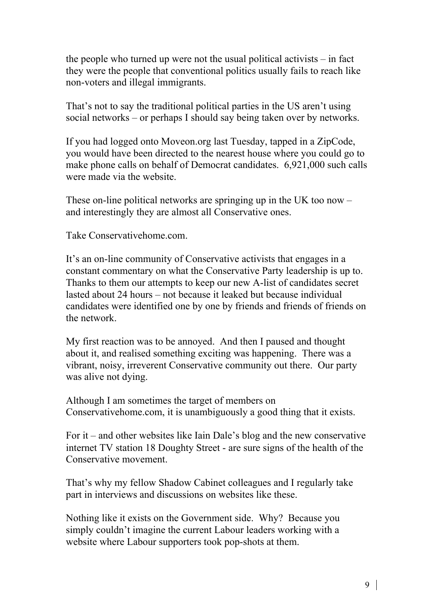the people who turned up were not the usual political activists – in fact they were the people that conventional politics usually fails to reach like non-voters and illegal immigrants.

That's not to say the traditional political parties in the US aren't using social networks – or perhaps I should say being taken over by networks.

If you had logged onto Moveon.org last Tuesday, tapped in a ZipCode, you would have been directed to the nearest house where you could go to make phone calls on behalf of Democrat candidates. 6,921,000 such calls were made via the website.

These on-line political networks are springing up in the UK too now – and interestingly they are almost all Conservative ones.

Take Conservativehome.com.

It's an on-line community of Conservative activists that engages in a constant commentary on what the Conservative Party leadership is up to. Thanks to them our attempts to keep our new A-list of candidates secret lasted about 24 hours – not because it leaked but because individual candidates were identified one by one by friends and friends of friends on the network.

My first reaction was to be annoyed. And then I paused and thought about it, and realised something exciting was happening. There was a vibrant, noisy, irreverent Conservative community out there. Our party was alive not dying.

Although I am sometimes the target of members on Conservativehome.com, it is unambiguously a good thing that it exists.

For it – and other websites like Iain Dale's blog and the new conservative internet TV station 18 Doughty Street - are sure signs of the health of the Conservative movement.

That's why my fellow Shadow Cabinet colleagues and I regularly take part in interviews and discussions on websites like these.

Nothing like it exists on the Government side. Why? Because you simply couldn't imagine the current Labour leaders working with a website where Labour supporters took pop-shots at them.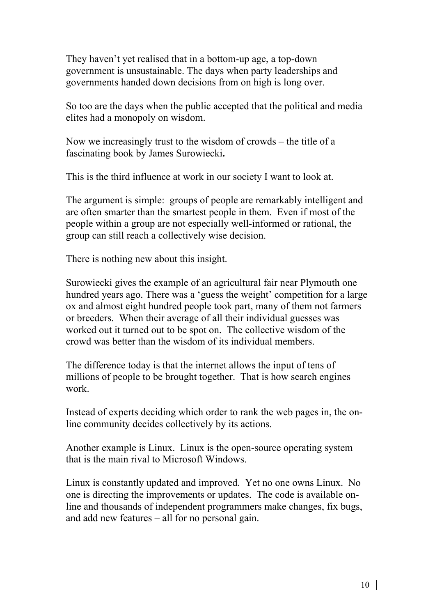They haven't yet realised that in a bottom-up age, a top-down government is unsustainable. The days when party leaderships and governments handed down decisions from on high is long over.

So too are the days when the public accepted that the political and media elites had a monopoly on wisdom.

Now we increasingly trust to the wisdom of crowds – the title of a fascinating book by James Surowiecki.

This is the third influence at work in our society I want to look at.

The argument is simple: groups of people are remarkably intelligent and are often smarter than the smartest people in them. Even if most of the people within a group are not especially well-informed or rational, the group can still reach a collectively wise decision.

There is nothing new about this insight.

Surowiecki gives the example of an agricultural fair near Plymouth one hundred years ago. There was a 'guess the weight' competition for a large ox and almost eight hundred people took part, many of them not farmers or breeders. When their average of all their individual guesses was worked out it turned out to be spot on. The collective wisdom of the crowd was better than the wisdom of its individual members.

The difference today is that the internet allows the input of tens of millions of people to be brought together. That is how search engines work.

Instead of experts deciding which order to rank the web pages in, the online community decides collectively by its actions.

Another example is Linux. Linux is the open-source operating system that is the main rival to Microsoft Windows.

Linux is constantly updated and improved. Yet no one owns Linux. No one is directing the improvements or updates. The code is available online and thousands of independent programmers make changes, fix bugs, and add new features – all for no personal gain.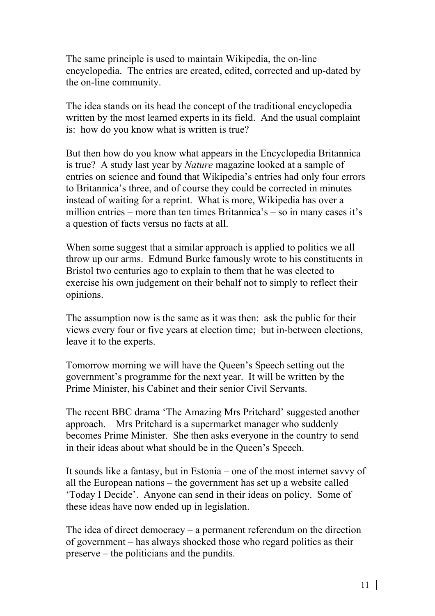The same principle is used to maintain Wikipedia, the on-line encyclopedia. The entries are created, edited, corrected and up-dated by the on-line community.

The idea stands on its head the concept of the traditional encyclopedia written by the most learned experts in its field. And the usual complaint is: how do you know what is written is true?

But then how do you know what appears in the Encyclopedia Britannica is true? A study last year by *Nature* magazine looked at a sample of entries on science and found that Wikipedia's entries had only four errors to Britannica's three, and of course they could be corrected in minutes instead of waiting for a reprint. What is more, Wikipedia has over a million entries – more than ten times Britannica's – so in many cases it's a question of facts versus no facts at all.

When some suggest that a similar approach is applied to politics we all throw up our arms. Edmund Burke famously wrote to his constituents in Bristol two centuries ago to explain to them that he was elected to exercise his own judgement on their behalf not to simply to reflect their opinions.

The assumption now is the same as it was then: ask the public for their views every four or five years at election time; but in-between elections, leave it to the experts.

Tomorrow morning we will have the Queen's Speech setting out the government's programme for the next year. It will be written by the Prime Minister, his Cabinet and their senior Civil Servants.

The recent BBC drama 'The Amazing Mrs Pritchard' suggested another approach. Mrs Pritchard is a supermarket manager who suddenly becomes Prime Minister. She then asks everyone in the country to send in their ideas about what should be in the Queen's Speech.

It sounds like a fantasy, but in Estonia – one of the most internet savvy of all the European nations – the government has set up a website called 'Today I Decide'. Anyone can send in their ideas on policy. Some of these ideas have now ended up in legislation.

The idea of direct democracy – a permanent referendum on the direction of government – has always shocked those who regard politics as their preserve – the politicians and the pundits.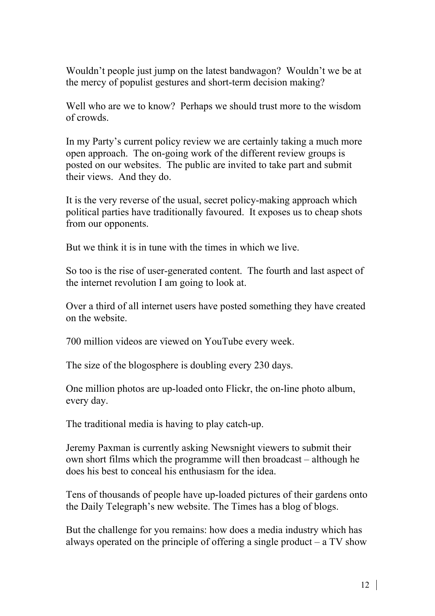Wouldn't people just jump on the latest bandwagon? Wouldn't we be at the mercy of populist gestures and short-term decision making?

Well who are we to know? Perhaps we should trust more to the wisdom of crowds.

In my Party's current policy review we are certainly taking a much more open approach. The on-going work of the different review groups is posted on our websites. The public are invited to take part and submit their views. And they do.

It is the very reverse of the usual, secret policy-making approach which political parties have traditionally favoured. It exposes us to cheap shots from our opponents.

But we think it is in tune with the times in which we live.

So too is the rise of user-generated content. The fourth and last aspect of the internet revolution I am going to look at.

Over a third of all internet users have posted something they have created on the website.

700 million videos are viewed on YouTube every week.

The size of the blogosphere is doubling every 230 days.

One million photos are up-loaded onto Flickr, the on-line photo album, every day.

The traditional media is having to play catch-up.

Jeremy Paxman is currently asking Newsnight viewers to submit their own short films which the programme will then broadcast – although he does his best to conceal his enthusiasm for the idea.

Tens of thousands of people have up-loaded pictures of their gardens onto the Daily Telegraph's new website. The Times has a blog of blogs.

But the challenge for you remains: how does a media industry which has always operated on the principle of offering a single product  $-$  a TV show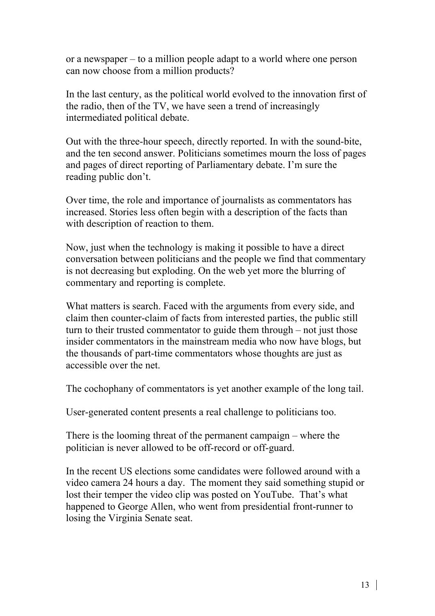or a newspaper – to a million people adapt to a world where one person can now choose from a million products?

In the last century, as the political world evolved to the innovation first of the radio, then of the TV, we have seen a trend of increasingly intermediated political debate.

Out with the three-hour speech, directly reported. In with the sound-bite, and the ten second answer. Politicians sometimes mourn the loss of pages and pages of direct reporting of Parliamentary debate. I'm sure the reading public don't.

Over time, the role and importance of journalists as commentators has increased. Stories less often begin with a description of the facts than with description of reaction to them.

Now, just when the technology is making it possible to have a direct conversation between politicians and the people we find that commentary is not decreasing but exploding. On the web yet more the blurring of commentary and reporting is complete.

What matters is search. Faced with the arguments from every side, and claim then counter-claim of facts from interested parties, the public still turn to their trusted commentator to guide them through – not just those insider commentators in the mainstream media who now have blogs, but the thousands of part-time commentators whose thoughts are just as accessible over the net.

The cochophany of commentators is yet another example of the long tail.

User-generated content presents a real challenge to politicians too.

There is the looming threat of the permanent campaign – where the politician is never allowed to be off-record or off-guard.

In the recent US elections some candidates were followed around with a video camera 24 hours a day. The moment they said something stupid or lost their temper the video clip was posted on YouTube. That's what happened to George Allen, who went from presidential front-runner to losing the Virginia Senate seat.